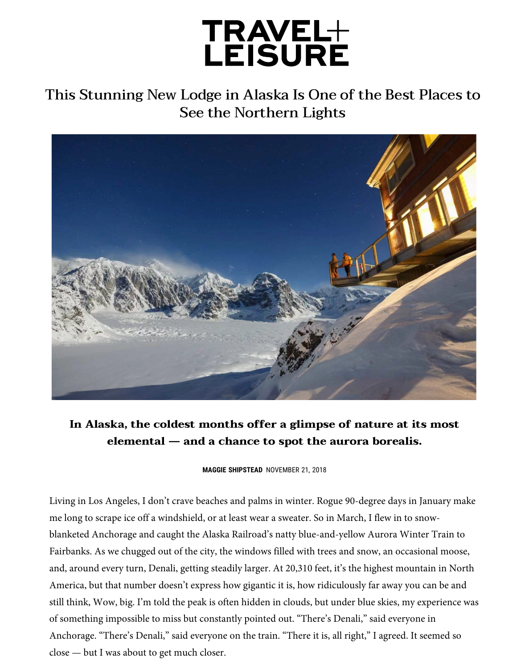## TRAVEL+<br>LEISURE

This Stunning New Lodge in Alaska Is One of the Best Places to See the Northern Lights



**In Alaska, the coldest months offer a glimpse of nature at its most elemental — and a chance to spot the aurora borealis.**

**[MAGGIE SHIPSTEAD](https://www.travelandleisure.com/author/maggie-shipstead)** NOVEMBER 21, 2018

Living in Los Angeles, I don't crave beaches and palms in winter. Rogue 90-degree days in January make me long to scrape ice off a windshield, or at least wear a sweater. So in March, I flew in to snowblanketed Anchorage and caught the Alaska Railroad's natty blue-and-yellow Aurora Winter Train to Fairbanks. As we chugged out of the city, the windows filled with trees and snow, an occasional moose, and, around every turn, Denali, getting steadily larger. At 20,310 feet, it's the highest mountain in North America, but that number doesn't express how gigantic it is, how ridiculously far away you can be and still think, Wow, big. I'm told the peak is often hidden in clouds, but under blue skies, my experience was of something impossible to miss but constantly pointed out. "There's Denali," said everyone in Anchorage. "There's Denali," said everyone on the train. "There it is, all right," I agreed. It seemed so close — but I was about to get much closer.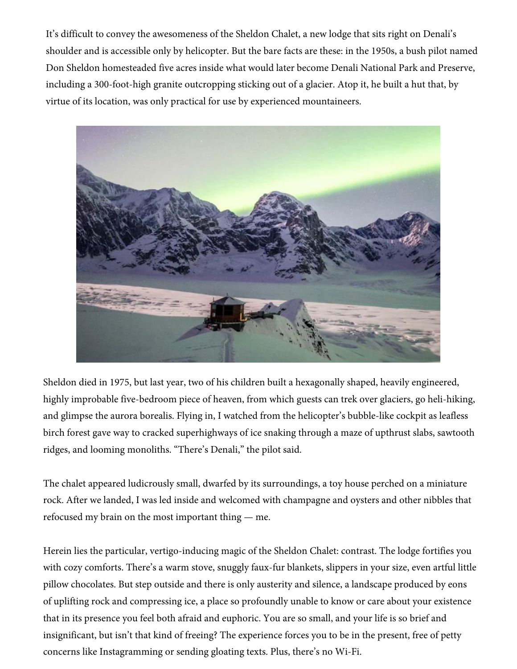It's difficult to convey the awesomeness of the Sheldon Chalet, a new lodge that sits right on Denali's shoulder and is accessible only by helicopter. But the bare facts are these: in the 1950s, a bush pilot named Don Sheldon homesteaded five acres inside what would later become Denali National Park and Preserve, including a 300-foot-high granite outcropping sticking out of a glacier. Atop it, he built a hut that, by virtue of its location, was only practical for use by experienced mountaineers.



Sheldon died in 1975, but last year, two of his children built a hexagonally shaped, heavily engineered, highly improbable five-bedroom piece of heaven, from which guests can trek over glaciers, go heli-hiking, and glimpse the aurora borealis. Flying in, I watched from the helicopter's bubble-like cockpit as leafless birch forest gave way to cracked superhighways of ice snaking through a maze of upthrust slabs, sawtooth ridges, and looming monoliths. "There's Denali," the pilot said.

The chalet appeared ludicrously small, dwarfed by its surroundings, a toy house perched on a miniature rock. After we landed, I was led inside and welcomed with champagne and oysters and other nibbles that refocused my brain on the most important thing — me.

Herein lies the particular, vertigo-inducing magic of the Sheldon Chalet: contrast. The lodge fortifies you with cozy comforts. There's a warm stove, snuggly faux-fur blankets, slippers in your size, even artful little pillow chocolates. But step outside and there is only austerity and silence, a landscape produced by eons of uplifting rock and compressing ice, a place so profoundly unable to know or care about your existence that in its presence you feel both afraid and euphoric. You are so small, and your life is so brief and insignificant, but isn't that kind of freeing? The experience forces you to be in the present, free of petty concerns like Instagramming or sending gloating texts. Plus, there's no Wi-Fi.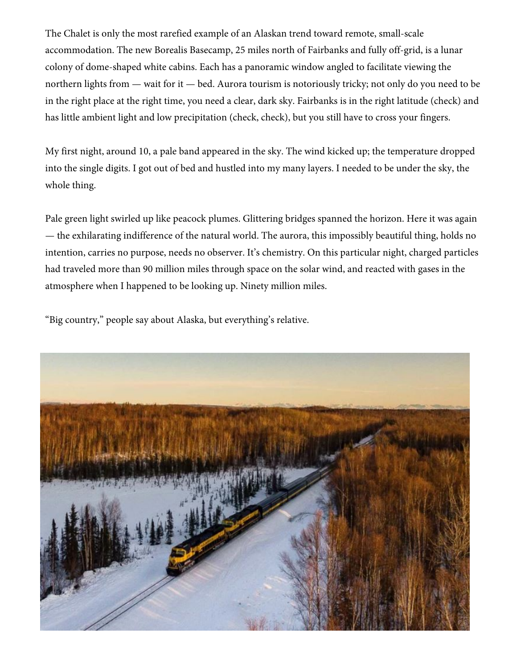The Chalet is only the most rarefied example of an Alaskan trend toward remote, small-scale accommodation. The new Borealis Basecamp, 25 miles north of Fairbanks and fully off-grid, is a lunar colony of dome-shaped white cabins. Each has a panoramic window angled to facilitate viewing the northern lights from — wait for it — bed. Aurora tourism is notoriously tricky; not only do you need to be in the right place at the right time, you need a clear, dark sky. Fairbanks is in the right latitude (check) and has little ambient light and low precipitation (check, check), but you still have to cross your fingers.

My first night, around 10, a pale band appeared in the sky. The wind kicked up; the temperature dropped into the single digits. I got out of bed and hustled into my many layers. I needed to be under the sky, the whole thing.

Pale green light swirled up like peacock plumes. Glittering bridges spanned the horizon. Here it was again — the exhilarating indifference of the natural world. The aurora, this impossibly beautiful thing, holds no int[ention, carries no purpose, needs no observer. It's chemistry. On this particular night,](https://www.travelandleisure.com/travel-news/sheldon-chalet-denali-alaska-new-hotel) charged particles had traveled more than 90 million miles through space on the solar wind, and reacted with gases in the atmosphere when I happened to be looking up. Ninety million miles.

"Big country," people say about Alaska, but everything's relative.